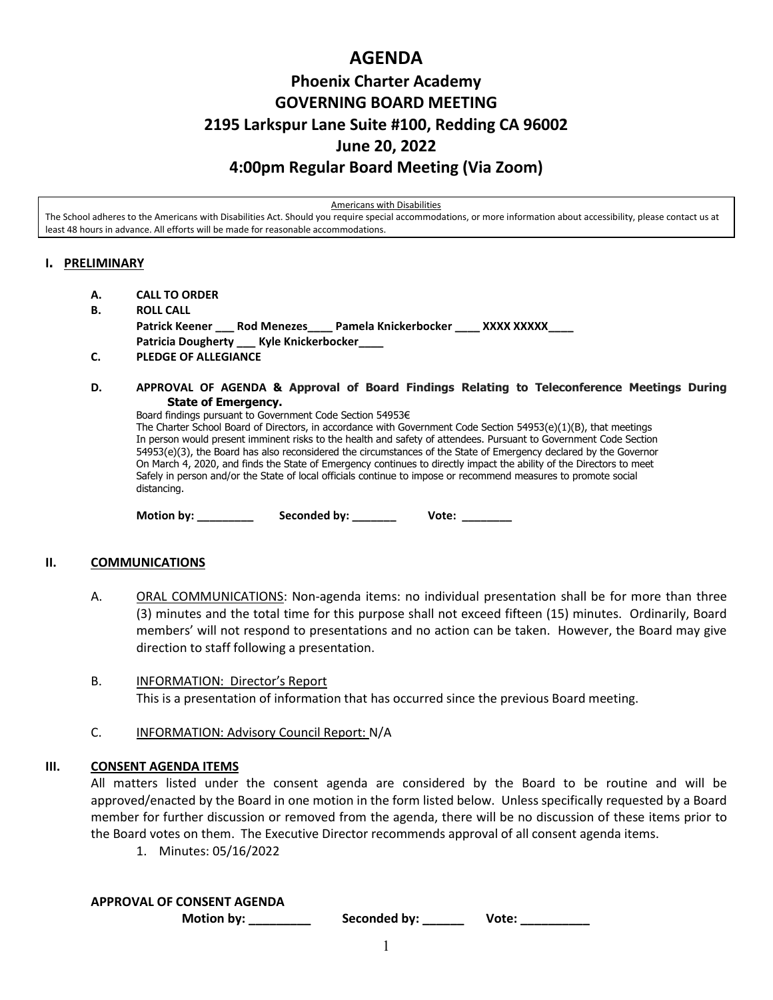## **AGENDA**

# **Phoenix Charter Academy GOVERNING BOARD MEETING 2195 Larkspur Lane Suite #100, Redding CA 96002 June 20, 2022 4:00pm Regular Board Meeting (Via Zoom)**

Americans with Disabilities

The School adheres to the Americans with Disabilities Act. Should you require special accommodations, or more information about accessibility, please contact us at least 48 hours in advance. All efforts will be made for reasonable accommodations.

## **I. PRELIMINARY**

- **A. CALL TO ORDER**
- **B. ROLL CALL Patrick Keener \_\_\_ Rod Menezes\_\_\_\_ Pamela Knickerbocker \_\_\_\_ XXXX XXXXX\_\_\_\_ Patricia Dougherty \_\_\_ Kyle Knickerbocker\_\_\_\_ C. PLEDGE OF ALLEGIANCE**
- **D. APPROVAL OF AGENDA & Approval of Board Findings Relating to Teleconference Meetings During State of Emergency.**

Board findings pursuant to Government Code Section 54953€ The Charter School Board of Directors, in accordance with Government Code Section 54953(e)(1)(B), that meetings In person would present imminent risks to the health and safety of attendees. Pursuant to Government Code Section 54953(e)(3), the Board has also reconsidered the circumstances of the State of Emergency declared by the Governor On March 4, 2020, and finds the State of Emergency continues to directly impact the ability of the Directors to meet Safely in person and/or the State of local officials continue to impose or recommend measures to promote social distancing.

Motion by: **Example Seconded by:** The Mote: Vote: **With Seconded by:** 2014

## **II. COMMUNICATIONS**

- A. **ORAL COMMUNICATIONS:** Non-agenda items: no individual presentation shall be for more than three (3) minutes and the total time for this purpose shall not exceed fifteen (15) minutes. Ordinarily, Board members' will not respond to presentations and no action can be taken. However, the Board may give direction to staff following a presentation.
- B. INFORMATION: Director's Report This is a presentation of information that has occurred since the previous Board meeting.
- C. INFORMATION: Advisory Council Report: N/A

## **III. CONSENT AGENDA ITEMS**

All matters listed under the consent agenda are considered by the Board to be routine and will be approved/enacted by the Board in one motion in the form listed below. Unless specifically requested by a Board member for further discussion or removed from the agenda, there will be no discussion of these items prior to the Board votes on them. The Executive Director recommends approval of all consent agenda items.

1. Minutes: 05/16/2022

## **APPROVAL OF CONSENT AGENDA**

**Motion by: \_\_\_\_\_\_\_\_\_ Seconded by: \_\_\_\_\_\_ Vote: \_\_\_\_\_\_\_\_\_\_**

1